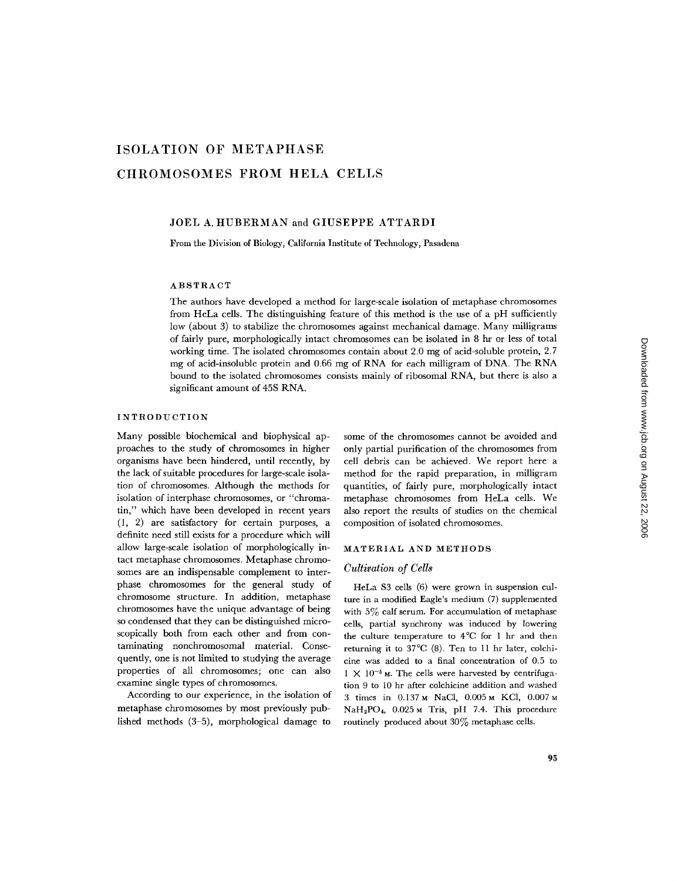# **ISOLATION OF METAPHASE CHROMOSOMES FROM HELA CELLS**

### JOEL A. HUBERMAN and GIUSEPPE ATTARDI

From the Division of Biology, California Institute of Technology, Pasadena

#### ABSTRACT

The authors have developed a method for large-scale isolation of metaphase chromosomes from HeLa cells. The distinguishing feature of this method is the use of a pH sufficiently low (about 3) to stabilize the chromosomes against mechanical damage. Many milligrams of fairly pure, morphologically intact chromosomes can be isolated in 8 hr or less of total working time. The isolated chromosomes contain about 2.0 mg of acid-soluble protein, 2.7 mg of acid-insoluble protein and 0.66 mg of RNA for each milligram of DNA. The RNA bound to the isolated chromosomes consists mainly of ribosomal RNA, but there is also a significant amount of 45S RNA.

## INTRODUCTION

Many possible biochemical and biophysical approaches to the study of chromosomes in higher organisms have been hindered, until recently, by the lack of suitable procedures for large-scale isolation of chromosomes. Although the methods for isolation of interphase chromosomes, or "chromatin," which have been developed in recent years (1, 2) are satisfactory for certain purposes, a definite need still exists for a procedure which will allow large-scale isolation of morphologically intact metaphase chromosomes. Metaphase chromosomes are an indispensable complement to interphase chromosomes for the general study of chromosome structure. In addition, metaphase chromosomes have the unique advantage of being so condensed that they can be distinguished microscopically both from each other and from contaminating nonchromosomal material. Consequently, one is not limited to studying the average properties of all chromosomes; one can also examine single types of chromosomes.

According to our experience, in the isolation of metaphase chromosomes by most previously published methods (3-5), morphological damage to

some of the chromosomes cannot be avoided and only partial purification of the chromosomes from cell debris can be achieved. We report here a method for the rapid preparation, in milligram quantities, of fairly pure, morphologically intact metaphase chromosomes from HeLa cells. We also report the results of studies on the chemical composition of isolated chromosomes.

#### MATERIAL AND METHODS

## *Cultivation of Cells*

HeLa \$3 cells (6) were grown in suspension culture in a modified Eagle's medium (7) supplemented with  $5\%$  calf serum. For accumulation of metaphase cells, partial synchrony was induced by lowering the culture temperature to 4°C for 1 hr and then returning it to 37°C (8). Ten to 11 hr later, colchicine was added to a final concentration of 0.5 to  $1 \times 10^{-5}$  M. The cells were harvested by centrifugation 9 to 10 hr after colchicine addition and washed 3 times in 0.137 M NaCl, 0.005 M KCl, 0.007 M NaH2PO4, 0.025 m Tris, pH 7.4. This procedure routinely produced about 30% metaphase cells.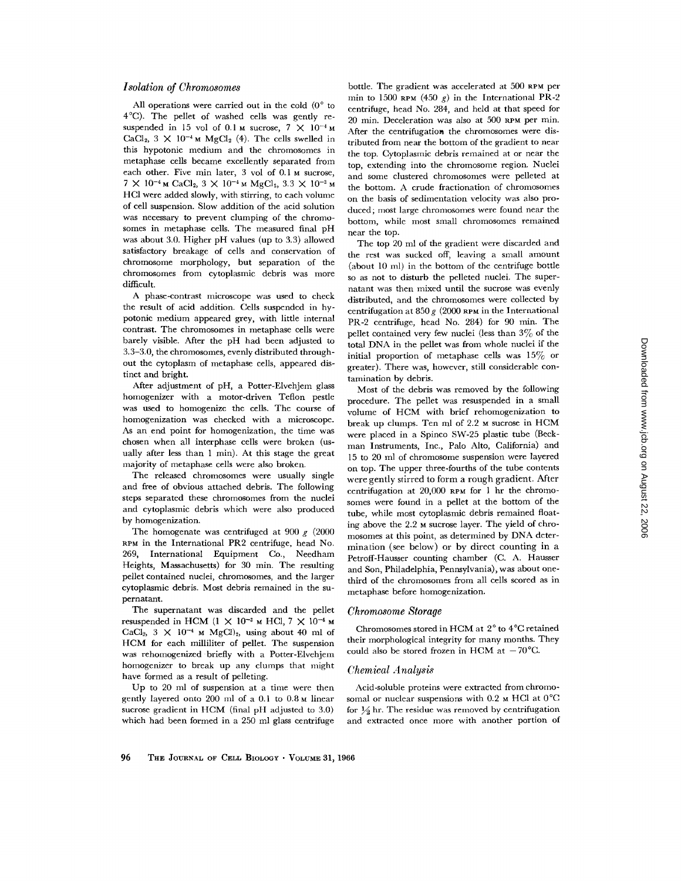### *Isolation of Chromosomes*

All operations were carried out in the cold  $(0^{\circ}$  to 4°C). The pellet of washed cells was gently resuspended in 15 vol of 0.1 M sucrose,  $7 \times 10^{-4}$  M CaCl<sub>2</sub>,  $3 \times 10^{-4}$  M MgCl<sub>2</sub> (4). The cells swelled in this hypotonic medium and the chromosomes in metaphase cells became excellently separated from each other. Five min later, 3 vol of 0.1 M sucrose,  $7 \times 10^{-4}$  M CaCl<sub>2</sub>,  $3 \times 10^{-4}$  M MgCl<sub>2</sub>,  $3.3 \times 10^{-3}$  M HC1 were added slowly, with stirring, to each volume of cell suspension. Slow addition of the acid solution was necessary to prevent clumping of the chromosomes in metaphase cells. The measured final pH was about 3.0. Higher pH values (up to 3.3) allowed satisfactory breakage of cells and conservation of chromosome morphology, but separation of the chromosomes from cytoplasmic debris was more difficult.

A phase-contrast microscope was used to check the result of acid addition. Cells suspended in hypotonic medium appeared grey, with little internal contrast. The chromosomes in metaphase cells were barely visible. After the pH had been adjusted to 3.3-3.0, the chromosomes, evenly distributed throughout the cytoplasm of metaphase cells, appeared distinct and bright.

After adjustment of pH, a Potter-Elvehjem glass homogenizer with a motor-driven Teflon pestle was used to homogenize the ceils. The course of homogenization was checked with a microscope. As an end point for homogenization, the time was chosen when all interphase ceils were broken (usually after less than  $1$  min). At this stage the great majority of metaphase cells were also broken.

The released chromosomes were usually single and free of obvious attached debris. The following steps separated these chromosomes from the nuclei and cytoplasmic debris which were also produced by homogenization.

The homogenate was centrifuged at 900  $g$  (2000 RPM in the International PR2 centrifuge, head No. 269, International Equipment Co., Needham Heights, Massachusetts) for 30 min. The resulting pellet contained nuclei, chromosomes, and the larger cytoplasmic debris. Most debris remained in the supernatant.

The supernatant was discarded and the pellet resuspended in HCM (1  $\times$  10<sup>-3</sup> M HCl, 7  $\times$  10<sup>-4</sup> M CaCl<sub>2</sub>,  $3 \times 10^{-4}$  M MgCl)<sub>2</sub>, using about 40 ml of HCM for each milliliter of pellet. The suspension was rehomogenized briefly with a Potter-Elvehjem homogenizer to break up any clumps that might have formed as a result of pelleting.

Up to 20 ml of suspension at a time were then gently layered onto 200 ml of a 0.1 to 0.8 M linear sucrose gradient in HCM (final pH adjusted to 3.0) which had been formed in a 250 ml glass centrifuge

bottle. The gradient was accelerated at 500 RPM per min to 1500 RPM (450 g) in the International PR-2 centrifuge, head No. 284, and held at that speed for 20 min. Deceleration was also at 500 RPM per min. After the centrifugation the chromosomes were distributed from near the bottom of the gradient to near the top. Cytoplasmic debris remained at or near the top, extending into the chromosome region. Nuclei and some clustered chromosomes were pelleted at the bottom. A crude fractionation of chromosomes on the basis of sedimentation velocity was also produced; most large chromosomes were found near the bottom, while most small chromosomes remained near the top.

The top 20 ml of the gradient were discarded and the rest was sucked off, leaving a small amount (about 10 ml) in the bottom of the centrifuge bottle so as not to disturb the pelleted nuclei. The supernatant was then mixed until the sucrose was evenly distributed, and the chromosomes were collected by centrifugation at 850  $g$  (2000 RPM in the International PR-2 centrifuge, head No. 284) for 90 min. The pellet contained very few nuclei (less than  $3\%$  of the total DNA in the pellet was from whole nuclei if the initial proportion of metaphase cells was  $15\%$  or greater). There was, however, still considerable contamination by debris.

Most of the debris was removed by the following procedure. The pellet was resuspended in a small volume of HCM with brief rehomogenization to break up clumps. Ten ml of 2.2 M sucrose in HCM were placed in a Spinco SW-25 plastic tube (Beckman Instruments, Inc., Palo Alto, California) and 15 to 20 ml of chromosome suspension were layered on top. The upper three-fourths of the tube contents were gently stirred to form a rough gradient. After centrifugation at 20,000 RPM for 1 hr the chromosomes were found in a pellet at the bottom of the tube, while most cytoplasmic debris remained floating above the 2.2 M sucrose layer. The yield of chromosomes at this point, as determined by DNA determination (see below) or by direct counting in a Petroff-Hausser counting chamber (C. A. Hausser and Son, Philadelphia, Pennsylvania), was about onethird of the chromosomes from all cells scored as in metaphase before homogenization.

#### *Chromosome Storage*

Chromosomes stored in HCM at 2° to 4°C retained their morphological integrity for many months. They could also be stored frozen in HCM at  $-70^{\circ}$ C.

#### *Chemical Analysis*

Acid-soluble proteins were extracted from chromosomal or nuclear suspensions with 0.2  $\times$  HCl at 0°C for  $\frac{1}{2}$  hr. The residue was removed by centrifugation and extracted once more with another portion of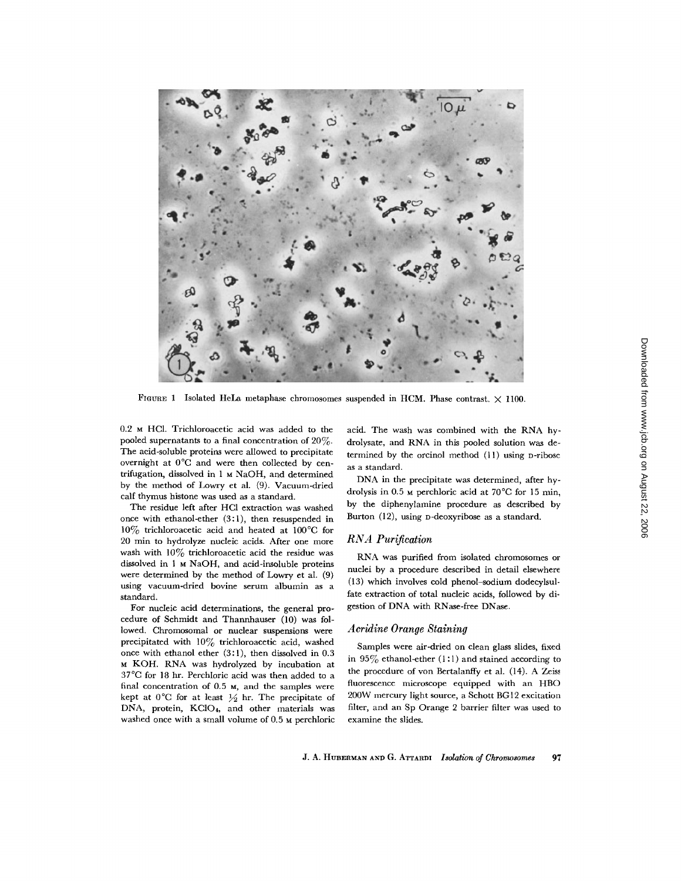

FIGURE 1 Isolated HeLa metaphase chromosomes suspended in HCM. Phase contrast.  $\times$  1100.

0.2 M HC1. Trichloroacetic acid was added to the pooled supernatants to a final concentration of 20%. The acid-soluble proteins were allowed to precipitate overnight at 0°C and were then collected by centrifugation, dissolved in 1 M NaOH, and determined by the method of Lowry et al. (9). Vacuum-dried calf thymus histone was used as a standard.

The residue left after HC1 extraction was washed once with ethanol-ether (3:1), then resuspended in 10% trichloroacetic acid and heated at 100°C for 20 min to hydrolyze nucleic acids. After one more wash with  $10\%$  trichloroacetic acid the residue was dissolved in 1 M NaOH, and acid-insoluble proteins were determined by the method of Lowry et al. (9) using vacuum-dried bovine serum albumin as a standard.

For nucleic acid determinations, the general procedure of Schmidt and Thannhauser (10) was followed. Chromosomal or nuclear suspensions were precipitated with 10% trichloroacetic acid, washed once with ethanol ether (3:1), then dissolved in 0.3 M KOH. RNA was hydrolyzed by incubation at 37°C for 18 hr. Perchloric acid was then added to a final concentration of 0.5 M, and the samples were kept at  $0^{\circ}$ C for at least  $\frac{1}{2}$  hr. The precipitate of DNA, protein, KC104, and other materials was washed once with a small volume of 0.5 M perchloric

acid. The wash was combined with the RNA hydrolysate, and RNA in this pooled solution was determined by the orcinol method (11) using D-ribose as a standard.

DNA in the precipitate was determined, after hydrolysis in  $0.5$  M perchloric acid at  $70^{\circ}$ C for 15 min, by the diphenylamine procedure as described by Burton (12), using D-deoxyribose as a standard.

## *RNA Purification*

RNA was purified from isolated chromosomes or nuclei by a procedure described in detail elsewhere (13) which involves cold phenol-sodium dodecylsulfate extraction of total nucleic acids, followed by digestion of DNA with RNase-free DNase.

#### *Acridine Orange Staining*

Samples were air-dried on clean glass slides, fixed in  $95\%$  ethanol-ether (1:1) and stained according to the procedure of yon Bertalanffy et al. (14). A Zeiss fluorescence microscope equipped with an HBO 200W mercury light source, a Schott BG12 excitation filter, and an Sp Orange 2 barrier filter was used to examine the slides.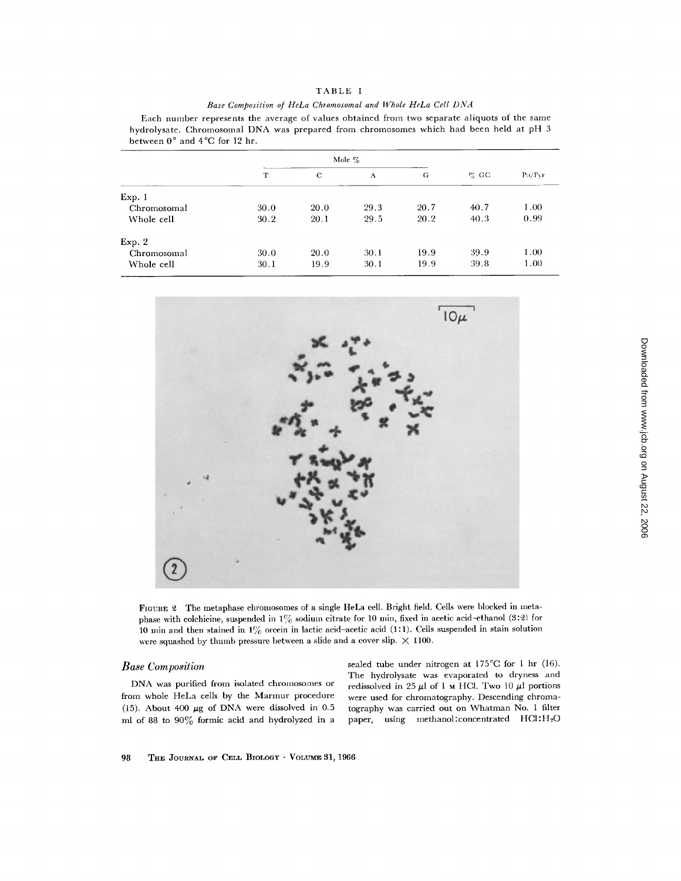|  |  |  | TABLE |  |  |  |  |
|--|--|--|-------|--|--|--|--|
|--|--|--|-------|--|--|--|--|

|  |  |  |  | Base Composition of HeLa Chromosomal and Whole HeLa Cell DNA |  |  |  |  |  |  |
|--|--|--|--|--------------------------------------------------------------|--|--|--|--|--|--|
|--|--|--|--|--------------------------------------------------------------|--|--|--|--|--|--|

Each number represents the average of values obtained from two separate aliquots of the same hydrolysate. Chromosomal DNA was prepared from chromosomes which had been held at pH 3 between  $0^{\circ}$  and  $4^{\circ}$ C for 12 hr.

|             | Mole $\%$ |      |      |      |         |        |
|-------------|-----------|------|------|------|---------|--------|
|             | T         | C    | A    | G    | $\%$ GC | Pu/Prr |
| Exp. 1      |           |      |      |      |         |        |
| Chromosomal | 30.0      | 20.0 | 29.3 | 20.7 | 40.7    | 1.00   |
| Whole cell  | 30.2      | 20.1 | 29.5 | 20.2 | 40.3    | 0.99   |
| Exp. 2      |           |      |      |      |         |        |
| Chromosomal | 30.0      | 20.0 | 30.1 | 19.9 | 39.9    | 1.00   |
| Whole cell  | 30.1      | 19.9 | 30.1 | 19.9 | 39.8    | 1.00   |



FIGURE 2 The metaphase chromosomes of a single HeLa cell. Bright field. Cells were blocked in metaphase with colchicine, suspended in  $1\%$  sodium citrate for 10 min, fixed in acetic acid-ethanol (3:2) for 10 min and then stained in  $1\%$  orcein in lactic acid-acetic acid (1:1). Cells suspended in stain solution were squashed by thumb pressure between a slide and a cover slip.  $\times$  1100.

## *Base Composition*

DNA was purified from isolated chromosomes or from whole HeLa cells by the Marmur procedure (15). About 400  $\mu$ g of DNA were dissolved in 0.5 ml of 88 to  $90\%$  formic acid and hydrolyzed in a

sealed tube under nitrogen at 175°C for 1 hr (16). The hydrolysate was evaporated to dryness and redissolved in 25  $\mu$ l of 1 M HCl. Two 10  $\mu$ l portions were used for chromatography. Descending chromatography was carried out on Whatman No. 1 filter paper, using methanol: concentrated HCl: H<sub>2</sub>O

98 THE JOURNAL OF CELL BIOLOGY · VOLUME 31, 1966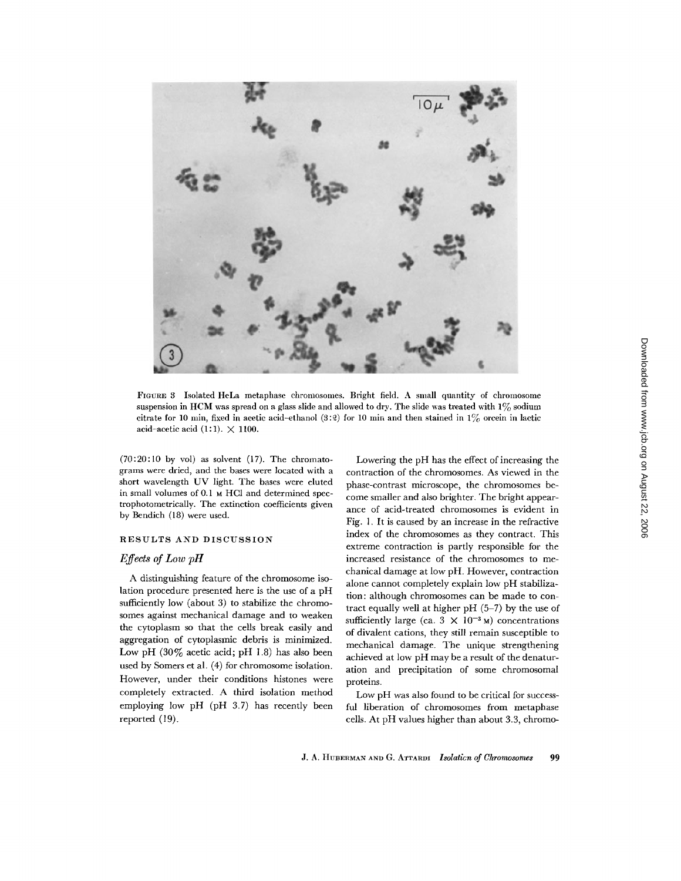

FIGURE 3 Isolated HeLa metaphase chromosomes. Bright field. A small quantity of chromosome suspension in HCM was spread on a glass slide and allowed to dry. The slide was treated with  $1\%$  sodium citrate for 10 min, fixed in acetic acid-ethanol (3:2) for 10 min and then stained in  $1\%$  orcein in lactic acid-acetic acid (1:1).  $\times$  1100.

 $(70:20:10$  by vol) as solvent  $(17)$ . The chromatograms were dried, and the bases were located with a short wavelength UV light. The bases were eluted in small volumes of 0.1 M HCl and determined spectrophotometrically. The extinction coefficients given by Bendich (18) were used.

## RESULTS AND DISCUSSION

## *Effects of Low pH*

A distinguishing feature of the chromosome isolation procedure presented here is the use of a pH sufficiently low (about 3) to stabilize the chromosomes against mechanical damage and to weaken the cytoplasm so that the cells break easily and aggregation of cytoplasmic debris is minimized. Low pH (30% acetic acid; pH 1.8) has also been used by Somers et al. (4) for chromosome isolation. However, under their conditions histones were completely extracted. A third isolation method employing low pH (pH 3.7) has recently been reported (19).

Lowering the pH has the effect of increasing the contraction of the chromosomes. As viewed in the phase-contrast microscope, the chromosomes become smaller and also brighter. The bright appearance of acid-treated chromosomes is evident in Fig. 1. It is caused by an increase in the refractive index of the chromosomes as they contract. This extreme contraction is partly responsible for the increased resistance of the chromosomes to mechanical damage at low pH. However, contraction alone cannot completely explain low pH stabilization: although chromosomes can be made to contract equally well at higher  $pH$  (5-7) by the use of sufficiently large (ca.  $3 \times 10^{-3}$  M) concentrations of divalent cations, they still remain susceptible to mechanical damage. The unique strengthening achieved at low pH may be a result of the denaturation and precipitation of some chromosomal proteins.

Low pH was also found to be critical for successful liberation of chromosomes from metaphase cells. At pH values higher than about 3.3, chromo-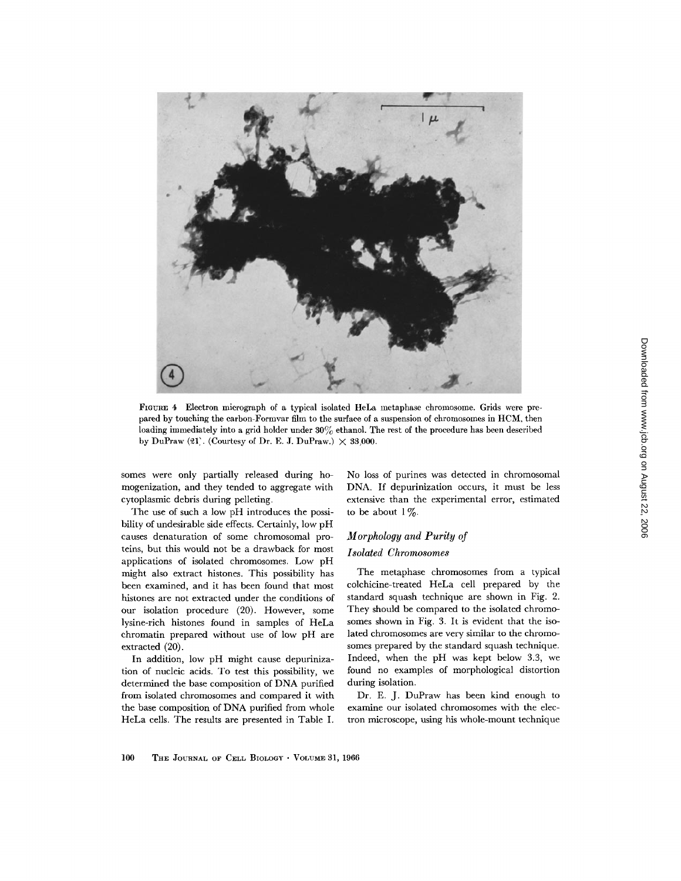

FIGURE 4 Electron micrograph of a typical isolated HeLa metaphase chromosome. Grids were prepared by touching the carbon-Formvar film to the surface of a suspension of chromosomes in HCM, then loading immediately into a grid holder under  $30\%$  ethanol. The rest of the procedure has been described by DuPraw  $(21)$ . (Courtesy of Dr. E. J. DuPraw.)  $\times$  33,000.

somes were only partially released during homogenization, and they tended to aggregate with cytoplasmic debris during pelleting.

The use of such a low pH introduces the possibility of undesirable side effects. Certainly, low pH causes denaturation of some chromosomal proteins, but this would not be a drawback for most applications of isolated chromosomes. Low pH might also extract histones. This possibility has been examined, and it has been found that most histones are not extracted under the conditions of our isolation procedure (20). However, some lysine-rich histones found in samples of HeLa ehromatin prepared without use of low pH are extracted (20).

In addition, low pH might cause depurinization of nucleic acids. To test this possibility, we determined the base composition of DNA purified from isolated chromosomes and compared it with the base composition of DNA purified from whole HeLa cells. The results are presented in Table I.

No loss of purines was detected in chromosomal DNA. If depurinization occurs, it must be less extensive than the experimental error, estimated to be about  $1\%$ .

# *Morphology and Purity of Isolated Chromosomes*

The metaphase chromosomes from a typical colchicine-treated HeLa cell prepared by the standard squash technique are shown in Fig. 2. They should be compared to the isolated chromosomes shown in Fig. 3. It is evident that the isolated chromosomes are very similar to the chromosomes prepared by the standard squash technique. Indeed, when the pH was kept below 3.3, we found no examples of morphological distortion during isolation.

Dr. E. J. DuPraw has been kind enough to examine our isolated chromosomes with the electron microscope, using his whole-mount technique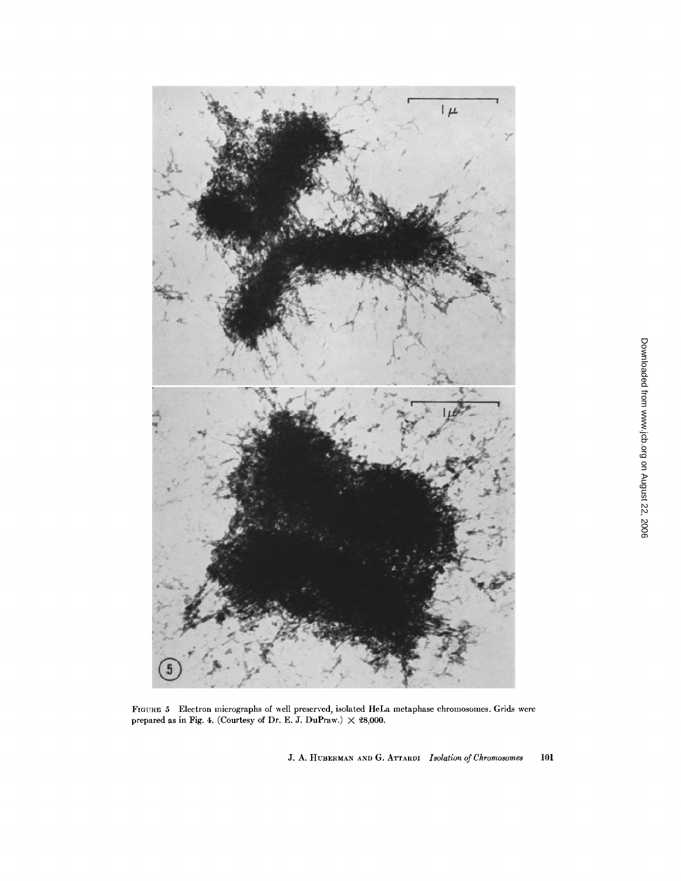

FIGURE 5 Electron micrographs of well preserved, isolated HeLa metaphase chromosomes. Grids were prepared as in Fig. 4. (Courtesy of Dr. E. J. DuPraw.)  $\times$  28,000.

J. A. HUBERMAN AND G. ATTARDI *Isolation of Chromosomes* 101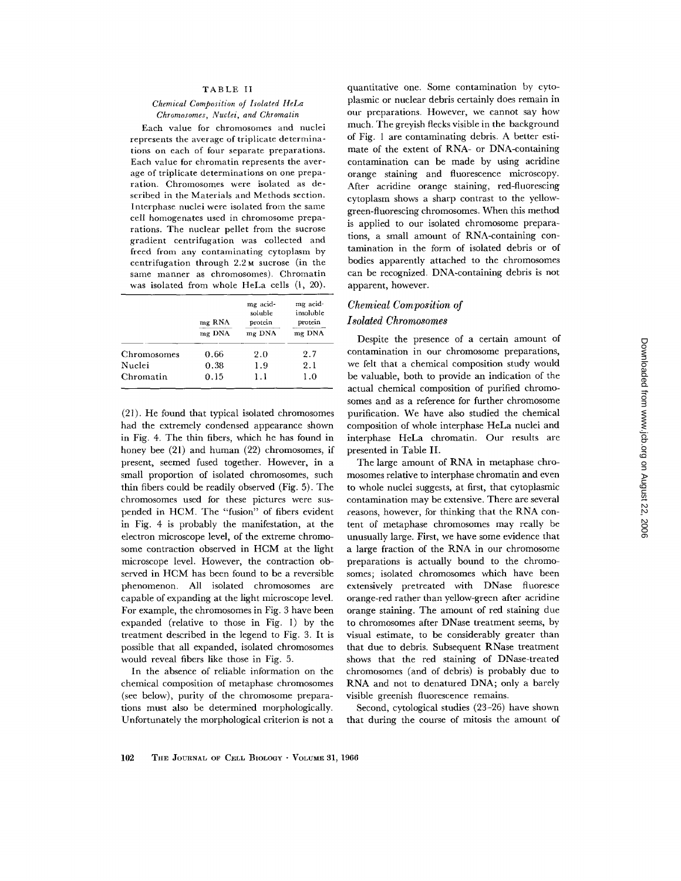#### TABLE II

### *Chemical Composition of Isolated HeLa Chromosomes, Nuclei, and Chromatin*

Each value for chromosomes and nuclei represents the average of triplicate determinations on each of four separate preparations. Each value for chromatin represents the average of triplicate determinations on one preparation. Chromosomes were isolated as described in the Materials and Methods section. Interphase nuclei were isolated from the same cell homogenates used in chromosome preparations. The nuclear pellet from the sucrose gradient centrifugation was collected and freed from any contaminating cytoplasm by centrifugation through 2.2 M sucrose (in the same manner as chromosomes). Chromatin was isolated from whole HeLa cells (1, 20).

|             | mg RNA<br>mg DNA | mg acid-<br>soluble<br>protein<br>mg DNA | mg acid-<br>insoluble<br>protein<br>mg DNA |
|-------------|------------------|------------------------------------------|--------------------------------------------|
| Chromosomes | 0.66             | 2.0                                      | 2.7                                        |
| Nuclei      | 0.38             | 1.9                                      | 2.1                                        |
| Chromatin   | 0.15             | 1.1                                      | 1.0                                        |

(21). He found that typical isolated chromosomes had the extremely condensed appearance shown in Fig. 4. The thin fibers, which he has found in honey bee (21) and human (22) chromosomes, if present, seemed fused together. However, in a small proportion of isolated chromosomes, such thin fibers could be readily observed (Fig. 5). The chromosomes used for these pictures were suspended in HCM. The "fusion" of fibers evident in Fig. 4 is probably the manifestation, at the electron microscope level, of the extreme chromosome contraction observed in HCM at the light microscope level. However, the contraction observed in HCM has been found to be a reversible phenomenon. All isolated chromosomes are capable of expanding at the light microscope level. For example, the chromosomes in Fig. 3 have been expanded (relative to those in Fig. l) by the treatment described in the legend to Fig. 3. It is possible that all expanded, isolated chromosomes would reveal fibers like those in Fig. 5.

In the absence of reliable information on the chemical composition of metaphase chromosomes (see below), purity of the chromosome preparations must also be determined morphologically. Unfortunately the morphological criterion is not a

quantitative one. Some contamination by cytoplasmic or nuclear debris certainly does remain in our preparations. However, we cannot say how much. The greyish flecks visible in the background of Fig. 1 are contaminating debris. A better estimate of the extent of RNA- or DNA-containing contamination can be made by using acridine orange staining and fluorescence microscopy. After acridine orange staining, red-fluorescing cytoplasm shows a sharp contrast to the yellowgreen-fluorescing chromosomes. When this method is applied to our isolated chromosome preparations, a small amount of RNA-containing contamination in the form of isolated debris or of bodies apparently attached to the chromosomes can be recognized. DNA-containing debris is not apparent, however.

## *Chemical Composition of Isolated Chromosomes*

Despite the presence of a certain amount of contamination in our chromosome preparations, we felt that a chemical composition study would be valuable, both to provide an indication of the actual chemical composition of purified chromosomes and as a reference for further chromosome purification. We have also studied the chemical composition of whole interphase HeLa nuclei and interphase HeLa chromatin. Our results are presented in Table II.

The large amount of RNA in metaphase chromosomes relative to interphase chromatin and even to whole nuclei suggests, at first, that cytoplasmic contamination may be extensive. There are several ceasons, however, for thinking that the RNA content of metaphase chromosomes may really be unusually large. First, we have some evidence that a large fraction of the RNA in our chromosome preparations is actually bound to the chromosomes; isolated chromosomes which have been extensively pretreated with DNase fluoresce orange-red rather than yellow-green after acridine orange staining. The amount of red staining due to chromosomes after DNase treatment seems, by visual estimate, to be considerably greater than that due to debris. Subsequent RNase treatment shows that the red staining of DNase-treated chromosomes (and of debris) is probably due to RNA and not to denatured DNA; only a barely visible greenish fluorescence remains.

Second, cytological studies (23-26) have shown that during the course of mitosis the amount of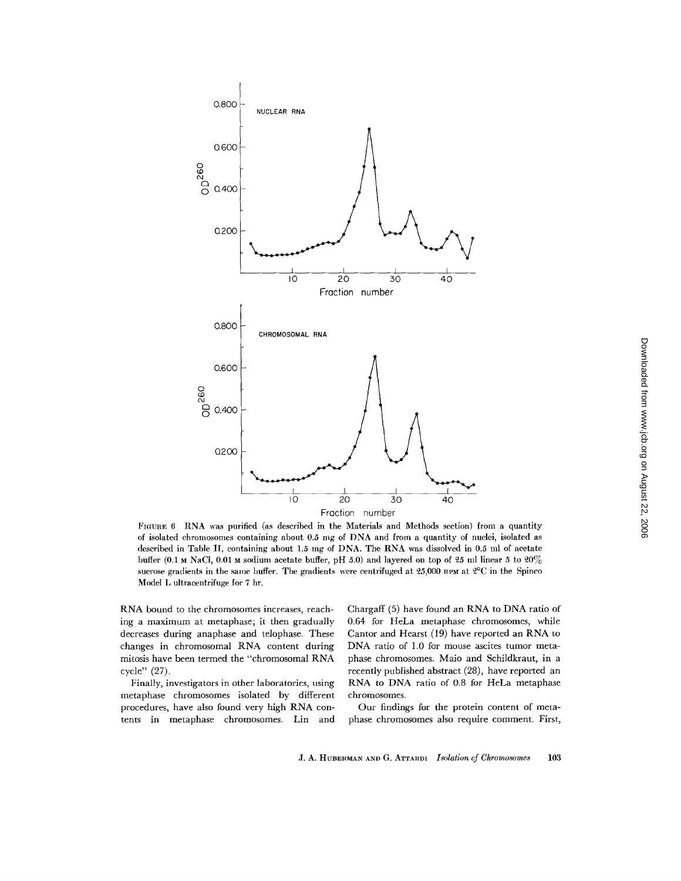

FIGURE 6 RNA was purified (as described in the Materials and Methods section) from a quantity of isolated chromosomes containing about 0.5 mg of DNA and from a quantity of nuclei, isolated as described in Table II, containing about 1.5 mg of DNA. The RNA was dissolved in 0.5 ml of acetate buffer (0.1  $\mu$  NaCl, 0.01  $\mu$  sodium acetate buffer, pH 5.0) and layered on top of 25 ml linear 5 to 20% sucrose gradients in the same buffer. The gradients were centrifuged at 25,000 nPM at  $2^{\circ}$ C in the Spinco Model L ultracentrifuge for 7 hr.

RNA bound to the chromosomes increases, reaching a maximum at metaphase; it then gradually decreases during anaphase and telophase. These changes in chromosomal RNA content during mitosis have been termed the "chromosomal RNA cycle" (27).

Finally, investigators in other laboratories, using metaphase chromosomes isolated by different procedures, have also found very high RNA contents in metaphase chromosomes. Lin and Chargaff (5) have found an RNA to DNA ratio of 0.64 for HeLa metaphase chromosomes, while Cantor and Hearst (19) have reported an RNA to DNA ratio of 1.0 for mouse ascites tumor metaphase chromosomes. Maio and Schildkraut, in a recently published abstract (28), have reported an RNA to DNA ratio of 0.8 for HeLa metaphase chromosomes.

Our findings for the protein content of metaphase chromosomes also require comment. First,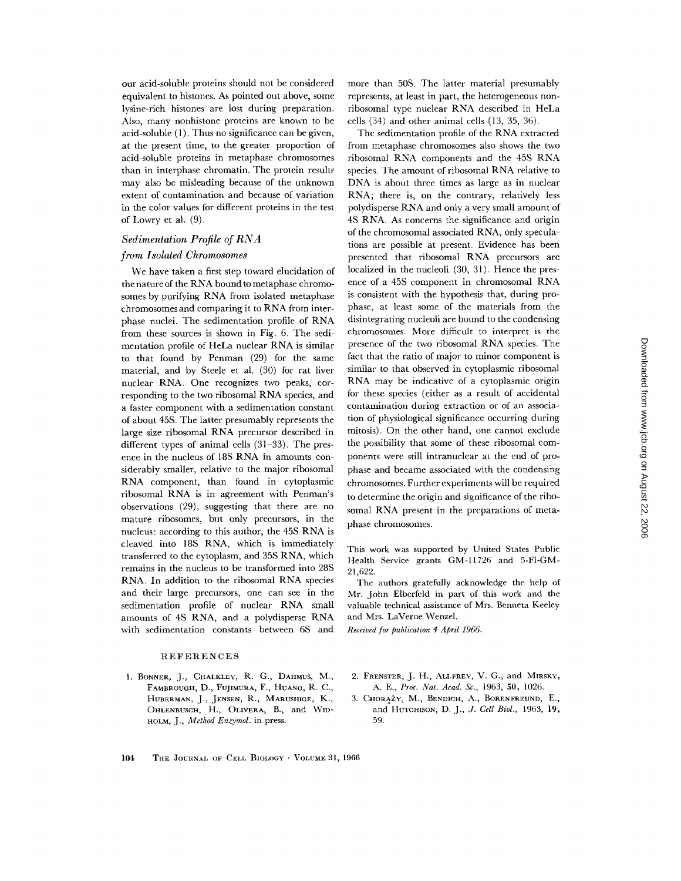our acid-soluble proteins should not be considered equivalent to histones. As pointed out above, some lysine-rich histones are lost during preparation. Also, many nonhistone proteins are known to be acid-soluble (1). Thus no significance can be given, at the present time, to the greater proportion of acid-soluble proteins in metaphase chromosomes than in interphase chromatin. The protein results may also be misleading because of the unknown extent of contamination and because of variation in the color values for different proteins in the test of Lowry et al. (9).

## *Sedimentation Profile of RNA*

## *from Isolated Chromosomes*

We have taken a first step toward elucidation of the nature of the RNA bound to metaphase chromosomes by purifying RNA from isolated metaphase chromosomes and comparing it to RNA from interphase nuclei. The sedimentation profile of RNA from these sources is shown in Fig. 6. The sedimentation profile of HeLa nuclear RNA is similar to that found by Penman (29) for the same material, and by Steele et al. (30) for rat liver nuclear RNA. One recognizes two peaks, corresponding to the two ribosomal RNA species, and a faster component with a sedimentation constant of about 458. The latter presumably represents the large size ribosomal RNA precursor described in different types of animal cells (31-33). The presence in the nucleus of 188 RNA in amounts considerably smaller, relative to the major ribosomal RNA component, than found in cytoplasmic ribosomal RNA is in agreement with Penman's observations (29), suggesting that there are no mature ribosomes, but only precursors, in the nucleus: according to this author, the 45S RNA is cleaved into 188 RNA, which is immediately transferred to the cytoplasm, and 358 RNA, which remains in the nucleus to be transformed into 28S RNA. In addition to the ribosomal RNA species and their large precursors, one can see in the sedimentation profile of nuclear RNA small amounts of 48 RNA, and a polydisperse RNA with sedimentation constants between 6S and

## REFERENCES

1. BONNER, J., CHALKLEY, R. G., DAHMUS, M., FAMBROUGH, D., FUJIMURA, F., HUANG, R. C., HUBERMAN, J., JENSEN, R., MARUSHIGE, **K.,**  OHLENBUSCH, H., OLIVERA, B., and WID-HOLM, J., *Method Enzymol.* in press.

more than 50S. The latter material presumably represents, at least in part, the heterogeneous nonribosomal type nuclear RNA described in HeLa cells (34) and other animal cells (13, 35, 36).

The sedimentation profile of the RNA extracted from metaphase chromosomes also shows the two ribosomal RNA components and the 458 RNA species. The amount of ribosomal RNA relative to DNA is about three times as large as in nuclear RNA; there is, on the contrary, relatively less polydisperse RNA and only a very small amount of 4S RNA. As concerns the significance and origin of the chromosomal associated RNA, only speculations are possible at present. Evidence has been presented that ribosomal RNA precursors are localized in the nucleoli (30, 31). Hence the presence of a 45S component in chromosomal RNA is consistent with the hypothesis that, during prophase, at least some of the materials from the disintegrating nucleoli are bound to the condensing chromosomes. More difficult to interpret is the presence of the two ribosomal RNA species. The fact that the ratio of major to minor component is similar to that observed in cytoplasmic ribosomal RNA may be indicative of a cytoplasmic origin for these species (either as a result of accidental contamination during extraction or of an association of physiological significance occurring during mitosis). On the other hand, one cannot exclude the possibility that some of these ribosomal components were still intranuclear at the end of prophase and became associated with the condensing chromosomes. Further experiments will be required to determine the origin and significance of the ribosomal RNA present in the preparations of metaphase chromosomes.

This work was supported by United States Public Health Service grants GM-11726 and 5-FI-GM-21,622.

The authors gratefully acknowledge the help of Mr. John Elberfeld in part of this work and the valuable technical assistance of Mrs. Benneta Keeley and Mrs. LaVerne Wenzel.

*Received for publication 4 April 1966.* 

- 2. FRENSTER, J. H., ALLFREY, V. G., and MIRSKY, *A. E., Proc. Nat. Acad. Sc.,* 1963, 50, 1026.
- 3. CHORAZY, M., BENDICH, A., BORENFREUND, E., and HUTGHISON, *D. J., J. Cell Biol.,* 1963, 19, 59.

#### 104 TuE JOURNAL OF CELL BIOLOGY - VOLUME 3l, 1966